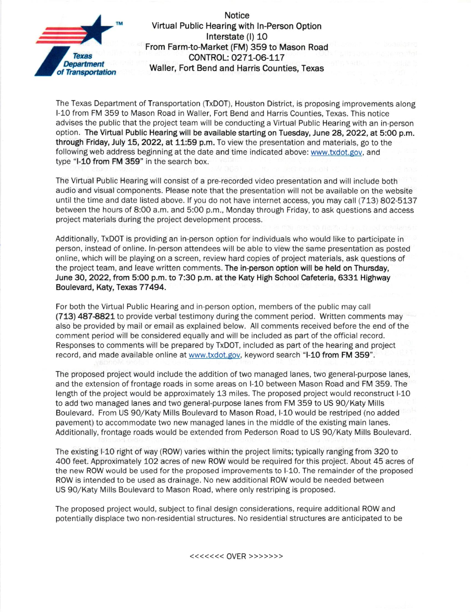

Notice Virtual Public Hearing with ln-Person Option lnterstate (l) 10 From Farm-to-Market (FM) 359 to Mason Road Texas<br>
Department<br>
Of Transportation Waller, Fort Bend and Harris Counties, Texas<br>
Of Transportation

The Texas Department of Transportation (TxDOT), Houston District, is proposing improvements along l-10 from FM 359 to Mason Road in Waller, Fort Bend and Harris Counties, Texas. This notice advises the public that the project team will be conducting a Virtual Public Hearing with an in-person option. The Virtual Public Hearing will be available starting on Tuesday, June 28, 2022, at 5:00 p.m. through Friday, July 15, 2022, at 11:59 p.m. To view the presentation and materials, go to the following web address beginning at the date and time indicated above: www.txdot.gov. and type "l-10 from FM 359" in the search box.

The Virtual Public Hearing will consist of a pre-recorded video presentation and wili include both audio and visual components. Please note that the presentation will not be available on the website until the time and date listed above. If you do not have internet access, you may call (713) 802-5137 between the hours of 8:00 a.m. and 5:00 p.m., Monday through Friday, to ask questions and access project materials during the project development process.

Additionally, TXDOT is providing an in-person option for individuals who would like to participate in person, instead of online- ln-person attendees will be able to view the same presentation as posted online, which will be playing on a screen, review hard copies of project materials, ask questions of the project team, and leave written comments. The in-person option will be held on Thursday, June 30, 2022, frcm 5:00 p.m. to 7:30 p.m. at the Katy High School Cafeteria, 6331 Highway Boulevard, Katy, Texas 77494.

For both the Virtual Public Hearing and in person option, members of the public may call (713) 487-8821 to provide verbal testimony during the comment period. Written comments may also be provided by mail or email as explained below. All comments received before the end of the comment period will be considered equally and will be included as part of the official record. Responses to comments will be prepared by TXDOT, included as part of the hearing and project record, and made available online at www.txdot.gov, keyword search "l-10 from FM 359"-

The proposed project would include the addition of two managed lanes, two general-purpose lanes, and the extension of frontage roads in some areas on l-10 between Mason Road and FM 359. The length of the project would be approximately 13 miles. The proposed project would reconstruct l-10 to add two managed lanes and two general-purpose lanes from FM 359 to US go/Katy Mills Boulevard. From US 90/Katy N/ills Boulevard to Mason Road, l-10 would be restriped (no added pavement) to accommodate two new managed lanes in the middle of the existing main lanes. Additionally, frontage roads would be extended from Pederson Road to US 90/Katy Mills Boulevard.

The existing l-10 right of way (ROW) varies within the project limits; typically ranging from 320 to 400 feet. Approximately 102 acres of new ROW would be required for this project. About 45 acres of the new ROW would be used for the proposed improvements to l-10. The remainder of the proposed ROW is intended to be used as drainage. No new additional ROW would be needed between US 90/Katy Mills Boulevard to Mason Road, where only restriping is proposed.

The proposed project would, subject to final design considerations, require additional ROW and potentially displace two non-residential structures. No residential structures are anticipated to be